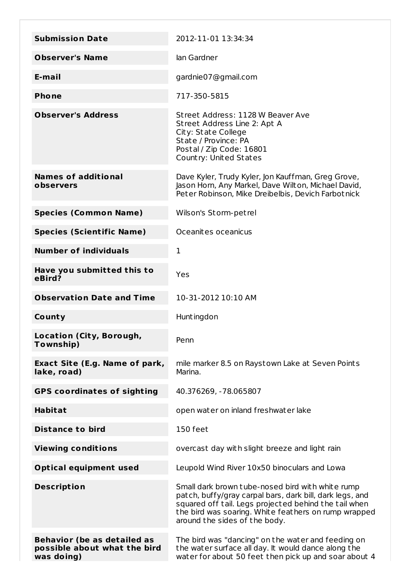| <b>Submission Date</b>                                                           | 2012-11-01 13:34:34                                                                                                                                                                                                                                            |
|----------------------------------------------------------------------------------|----------------------------------------------------------------------------------------------------------------------------------------------------------------------------------------------------------------------------------------------------------------|
| <b>Observer's Name</b>                                                           | lan Gardner                                                                                                                                                                                                                                                    |
|                                                                                  |                                                                                                                                                                                                                                                                |
| E-mail                                                                           | gardnie07@gmail.com                                                                                                                                                                                                                                            |
| Phone                                                                            | 717-350-5815                                                                                                                                                                                                                                                   |
| <b>Observer's Address</b>                                                        | Street Address: 1128 W Beaver Ave<br>Street Address Line 2: Apt A<br>City: State College<br>State / Province: PA<br>Postal / Zip Code: 16801<br>Country: United States                                                                                         |
| <b>Names of additional</b><br>observers                                          | Dave Kyler, Trudy Kyler, Jon Kauffman, Greg Grove,<br>Jason Horn, Any Markel, Dave Wilton, Michael David,<br>Peter Robinson, Mike Dreibelbis, Devich Farbotnick                                                                                                |
| <b>Species (Common Name)</b>                                                     | Wilson's Storm-petrel                                                                                                                                                                                                                                          |
| <b>Species (Scientific Name)</b>                                                 | Oceanites oceanicus                                                                                                                                                                                                                                            |
| <b>Number of individuals</b>                                                     | 1                                                                                                                                                                                                                                                              |
| Have you submitted this to<br>eBird?                                             | Yes                                                                                                                                                                                                                                                            |
| <b>Observation Date and Time</b>                                                 | 10-31-2012 10:10 AM                                                                                                                                                                                                                                            |
| County                                                                           | Huntingdon                                                                                                                                                                                                                                                     |
| Location (City, Borough,<br>Township)                                            | Penn                                                                                                                                                                                                                                                           |
| Exact Site (E.g. Name of park,<br>lake, road)                                    | mile marker 8.5 on Raystown Lake at Seven Points<br>Marina.                                                                                                                                                                                                    |
| <b>GPS coordinates of sighting</b>                                               | 40.376269, -78.065807                                                                                                                                                                                                                                          |
| <b>Habitat</b>                                                                   | open water on inland freshwater lake                                                                                                                                                                                                                           |
| <b>Distance to bird</b>                                                          | 150 feet                                                                                                                                                                                                                                                       |
| <b>Viewing conditions</b>                                                        | overcast day with slight breeze and light rain                                                                                                                                                                                                                 |
| <b>Optical equipment used</b>                                                    | Leupold Wind River 10x50 binoculars and Lowa                                                                                                                                                                                                                   |
| <b>Description</b>                                                               | Small dark brown tube-nosed bird with white rump<br>patch, buffy/gray carpal bars, dark bill, dark legs, and<br>squared off tail. Legs projected behind the tail when<br>the bird was soaring. White feathers on rump wrapped<br>around the sides of the body. |
| <b>Behavior (be as detailed as</b><br>possible about what the bird<br>was doing) | The bird was "dancing" on the water and feeding on<br>the water surface all day. It would dance along the<br>water for about 50 feet then pick up and soar about 4                                                                                             |